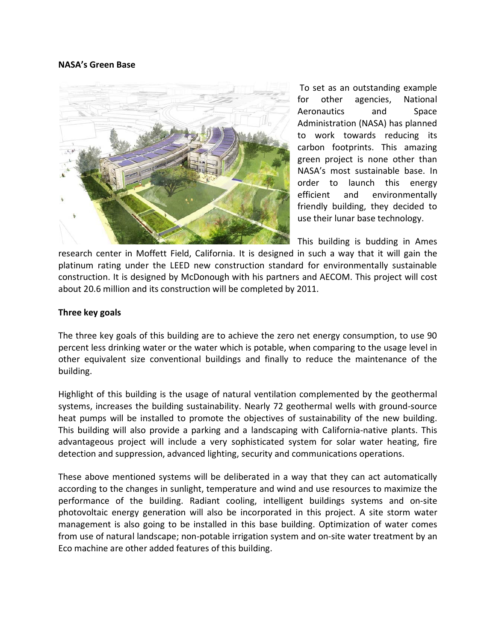## **[NASA's Green](http://greenstructures.wordpress.com/2009/08/31/nasa%e2%80%99s-green-base/) Base**



[T](http://www.nasa.gov/)o set as an outstanding example for other agencies, National Aeronautics and Space Administration (NASA) has planned to work towards reducing its carbon footprints. This amazing green project is none other than NASA's most sustainable base. In order to launch this [energy](http://www.glazette.com/features_view-33.html)  [efficient a](http://www.glazette.com/features_view-33.html)nd environmentally friendly building, they decided to use their lunar base technology.

This building is budding in Ames research center in Moffett Field, California. It is designed in such a way that it will gain the platinum rating under the [LEED](http://en.wikipedia.org/wiki/Leadership_in_Energy_and_Environmental_Design) new construction standard for environmentally sustainable construction. It is designed by McDonough with his partners and AECOM. This project will cost about 20.6 million and its construction will be completed by 2011.

## **Three key goals**

The three key goals of this building are to achieve the zero net energy consumption, to use 90 percent less drinking water or the water which is potable, when comparing to the usage level in other equivalent size conventional buildings and finally to reduce the maintenance of the building.

Highlight of this building is the usage of natural ventilation complemented by the geothermal systems, increases the building sustainability. Nearly 72 geothermal wells with ground-source heat pumps will be installed to promote the objectives of sustainability of the new building. This building will also provide a parking and a landscaping with California-native plants. This advantageous project will include a very sophisticated system for [solar w](http://in.saint-gobain-glass.com/b2c/default.asp?nav1=pr&nav2=single%20pane&id=18409)ater heating, fire detection and suppression, advanced lighting, security and communications operations.

These above mentioned systems will be deliberated in a way that they can act automatically according to the changes in sunlight, temperature and wind and use resources to maximize the performance of the building. Radiant cooling, intelligent buildings systems and on-site photovoltaic energy generation will also be incorporated in this project. A site storm water management is also going to be installed in this base building. Optimization of water comes from use of natural landscape; non-potable irrigation system and on-site water treatment by an Eco machine are other added features of this building.